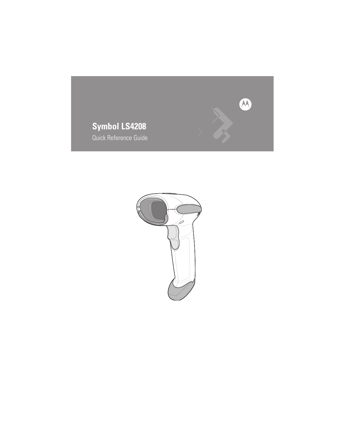

# **Symbol LS4208**

Quick Reference Guide

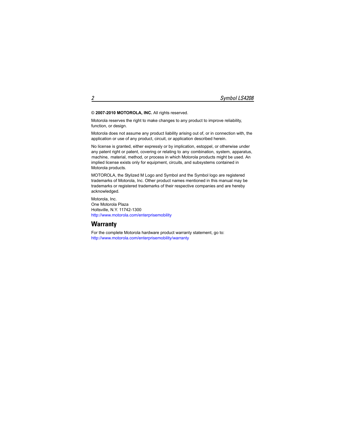#### © **2007-2010 MOTOROLA, INC.** All rights reserved.

Motorola reserves the right to make changes to any product to improve reliability, function, or design.

Motorola does not assume any product liability arising out of, or in connection with, the application or use of any product, circuit, or application described herein.

No license is granted, either expressly or by implication, estoppel, or otherwise under any patent right or patent, covering or relating to any combination, system, apparatus, machine, material, method, or process in which Motorola products might be used. An implied license exists only for equipment, circuits, and subsystems contained in Motorola products.

MOTOROLA, the Stylized M Logo and Symbol and the Symbol logo are registered trademarks of Motorola, Inc. Other product names mentioned in this manual may be trademarks or registered trademarks of their respective companies and are hereby acknowledged.

Motorola, Inc. One Motorola Plaza [Holtsville, N.Y. 11742-1300](http://www.motorola.com/enterprisemobility) http://www.motorola.com/enterprisemobility

## **Warranty**

For the complete Motorola hardware product warranty statement, go to: <http://www.motorola.com/enterprisemobility/warranty>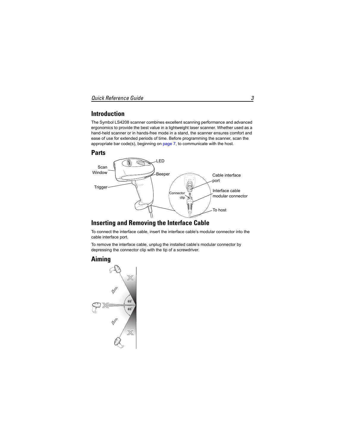## **Introduction**

The Symbol LS4208 scanner combines excellent scanning performance and advanced ergonomics to provide the best value in a lightweight laser scanner. Whether used as a hand-held scanner or in hands-free mode in a stand, the scanner ensures comfort and ease of use for extended periods of time. Before programming the scanner, scan the appropriate bar code(s), beginning on [page 7,](#page-6-0) to communicate with the host.

## **Parts**



#### **Inserting and Removing the Interface Cable**

To connect the interface cable, insert the interface cable's modular connector into the cable interface port.

To remove the interface cable, unplug the installed cable's modular connector by depressing the connector clip with the tip of a screwdriver.

## **Aiming**

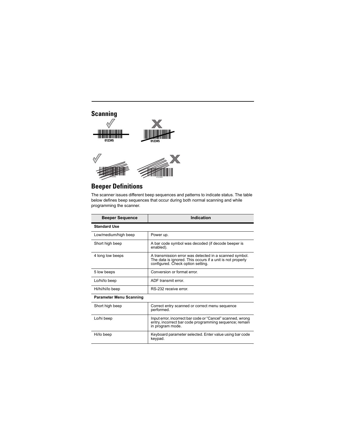

## **Beeper Definitions**

The scanner issues different beep sequences and patterns to indicate status. The table below defines beep sequences that occur during both normal scanning and while programming the scanner.

| <b>Beeper Sequence</b>         | Indication                                                                                                                                                                                                                                                                                    |
|--------------------------------|-----------------------------------------------------------------------------------------------------------------------------------------------------------------------------------------------------------------------------------------------------------------------------------------------|
| <b>Standard Use</b>            |                                                                                                                                                                                                                                                                                               |
| Low/medium/high beep           | Power up.                                                                                                                                                                                                                                                                                     |
| Short high beep                | A bar code symbol was decoded (if decode beeper is<br>enabled).                                                                                                                                                                                                                               |
| 4 long low beeps               | A transmission error was detected in a scanned symbol.<br>The data is ignored. This occurs if a unit is not properly<br>configured. Check option setting.                                                                                                                                     |
| 5 low beeps                    | Conversion or format error.                                                                                                                                                                                                                                                                   |
| Lo/hi/lo beep                  | ADF transmit error.                                                                                                                                                                                                                                                                           |
| Hi/hi/hi/lo beep               | RS-232 receive error.                                                                                                                                                                                                                                                                         |
| <b>Parameter Menu Scanning</b> |                                                                                                                                                                                                                                                                                               |
| Short high beep                | Correct entry scanned or correct menu sequence<br>performed.                                                                                                                                                                                                                                  |
| .                              | $\sim$ . $\sim$ . $\sim$ . $\sim$ . $\sim$ . $\sim$ . $\sim$ . $\sim$ . $\sim$ . $\sim$ . $\sim$ . $\sim$ . $\sim$ . $\sim$ . $\sim$ . $\sim$ . $\sim$ . $\sim$ . $\sim$ . $\sim$ . $\sim$ . $\sim$ . $\sim$ . $\sim$ . $\sim$ . $\sim$ . $\sim$ . $\sim$ . $\sim$ . $\sim$ . $\sim$ . $\sim$ |

| Lo/hi beep | Input error, incorrect bar code or "Cancel" scanned, wrong<br>entry, incorrect bar code programming sequence; remain<br>in program mode. |
|------------|------------------------------------------------------------------------------------------------------------------------------------------|
| Hi/lo beep | Keyboard parameter selected. Enter value using bar code<br>keypad.                                                                       |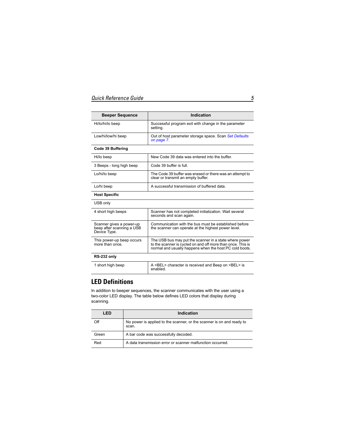| <b>Beeper Sequence</b> | Indication                                                           |
|------------------------|----------------------------------------------------------------------|
| Hi/lo/hi/lo beep       | Successful program exit with change in the parameter<br>setting.     |
| Low/hi/low/hi beep     | Out of host parameter storage space. Scan Set Defaults<br>on page 7. |

#### **Code 39 Buffering**

| Hi/lo beep               | New Code 39 data was entered into the buffer.                                                  |
|--------------------------|------------------------------------------------------------------------------------------------|
| 3 Beeps - long high beep | Code 39 buffer is full.                                                                        |
| Lo/hi/lo beep            | The Code 39 buffer was erased or there was an attempt to<br>clear or transmit an empty buffer. |
| Lo/hi beep               | A successful transmission of buffered data.                                                    |

#### **Host Specific**

USB only

| 4 short high beeps                                                    | Scanner has not completed initialization. Wait several<br>seconds and scan again.                                                                                                |
|-----------------------------------------------------------------------|----------------------------------------------------------------------------------------------------------------------------------------------------------------------------------|
| Scanner gives a power-up<br>beep after scanning a USB<br>Device Type. | Communication with the bus must be established before<br>the scanner can operate at the highest power level.                                                                     |
| This power-up beep occurs<br>more than once.                          | The USB bus may put the scanner in a state where power<br>to the scanner is cycled on and off more than once. This is<br>normal and usually happens when the host PC cold boots. |
| $P^2-232$ only                                                        |                                                                                                                                                                                  |

| $110 - 202$ $011$ |                                                                             |
|-------------------|-----------------------------------------------------------------------------|
| 1 short high beep | A <bel> character is received and Beep on <bel> is<br/>enabled.</bel></bel> |

#### **LED Definitions**

In addition to beeper sequences, the scanner communicates with the user using a two-color LED display. The table below defines LED colors that display during scanning.

| LED   | Indication                                                                     |  |
|-------|--------------------------------------------------------------------------------|--|
| Off   | No power is applied to the scanner, or the scanner is on and ready to<br>scan. |  |
| Green | A bar code was successfully decoded.                                           |  |
| Red   | A data transmission error or scanner malfunction occurred.                     |  |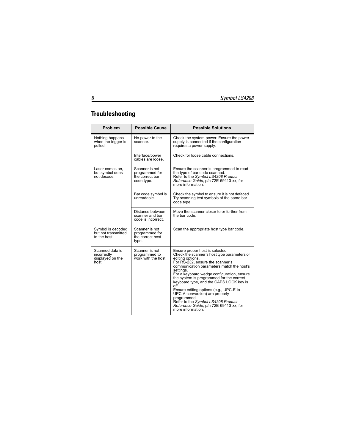## **Troubleshooting**

| Problem                                                     | <b>Possible Cause</b>                                             | <b>Possible Solutions</b>                                                                                                                                                                                                                                                                                                                                                                                                                                                                                                                     |  |
|-------------------------------------------------------------|-------------------------------------------------------------------|-----------------------------------------------------------------------------------------------------------------------------------------------------------------------------------------------------------------------------------------------------------------------------------------------------------------------------------------------------------------------------------------------------------------------------------------------------------------------------------------------------------------------------------------------|--|
| Nothing happens<br>when the trigger is<br>pulled.           | No power to the<br>scanner.                                       | Check the system power. Ensure the power<br>supply is connected if the configuration<br>requires a power supply.                                                                                                                                                                                                                                                                                                                                                                                                                              |  |
|                                                             | Interface/power<br>cables are loose.                              | Check for loose cable connections.                                                                                                                                                                                                                                                                                                                                                                                                                                                                                                            |  |
| Laser comes on,<br>but symbol does<br>not decode.           | Scanner is not<br>programmed for<br>the correct bar<br>code type. | Ensure the scanner is programmed to read<br>the type of bar code scanned.<br>Refer to the Symbol LS4208 Product<br>Reference Guide, p/n 72E-69413-xx, for<br>more information.                                                                                                                                                                                                                                                                                                                                                                |  |
|                                                             | Bar code symbol is<br>unreadable.                                 | Check the symbol to ensure it is not defaced.<br>Try scanning test symbols of the same bar<br>code type.                                                                                                                                                                                                                                                                                                                                                                                                                                      |  |
|                                                             | Distance between<br>scanner and bar<br>code is incorrect.         | Move the scanner closer to or further from<br>the bar code.                                                                                                                                                                                                                                                                                                                                                                                                                                                                                   |  |
| Symbol is decoded<br>but not transmitted<br>to the host.    | Scanner is not<br>programmed for<br>the correct host<br>type.     | Scan the appropriate host type bar code.                                                                                                                                                                                                                                                                                                                                                                                                                                                                                                      |  |
| Scanned data is<br>incorrectly<br>displayed on the<br>host. | Scanner is not<br>programmed to<br>work with the host.            | Ensure proper host is selected.<br>Check the scanner's host type parameters or<br>editing options.<br>For RS-232, ensure the scanner's<br>communication parameters match the host's<br>settings.<br>For a keyboard wedge configuration, ensure<br>the system is programmed for the correct<br>keyboard type, and the CAPS LOCK key is<br>off.<br>Ensure editing options (e.g., UPC-E to<br>UPC-A conversion) are properly<br>programmed.<br>Refer to the Symbol LS4208 Product<br>Reference Guide, p/n 72E-69413-xx, for<br>more information. |  |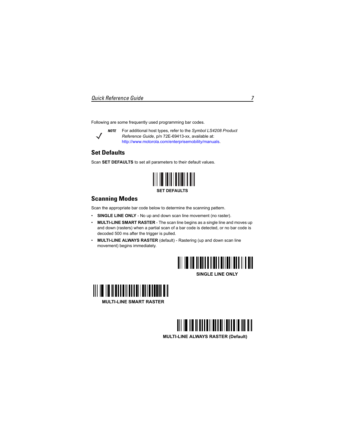<span id="page-6-0"></span>Following are some frequently used programming bar codes.



*NOTE* For additional host types, refer to the *Symbol LS4208 Product Reference Guide*, p/n 72E-69413-xx, available at: http://www.motorola.com/enterprisemobility/manuals.

#### <span id="page-6-1"></span>**Set Defaults**

Scan **SET DEFAULTS** to set all parameters to their default values.



## **Scanning Modes**

Scan the appropriate bar code below to determine the scanning pattern.

- **SINGLE LINE ONLY** No up and down scan line movement (no raster).
- **MULTI-LINE SMART RASTER** The scan line begins as a single line and moves up and down (rasters) when a partial scan of a bar code is detected, or no bar code is decoded 500 ms after the trigger is pulled.
- **MULTI-LINE ALWAYS RASTER** (default) Rastering (up and down scan line movement) begins immediately.





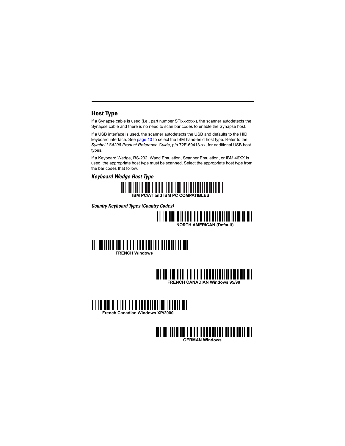## **Host Type**

If a Synapse cable is used (i.e., part number STIxx-xxxx), the scanner autodetects the Synapse cable and there is no need to scan bar codes to enable the Synapse host.

If a USB interface is used, the scanner autodetects the USB and defaults to the HID keyboard interface. See [page 10](#page-9-0) to select the IBM hand-held host type. Refer to the *Symbol LS4208 Product Reference Guide*, p/n 72E-69413-xx, for additional USB host types.

If a Keyboard Wedge, RS-232, Wand Emulation, Scanner Emulation, or IBM 46XX is used, the appropriate host type must be scanned. Select the appropriate host type from the bar codes that follow.

*Keyboard Wedge Host Type*



*Country Keyboard Types (Country Codes)*









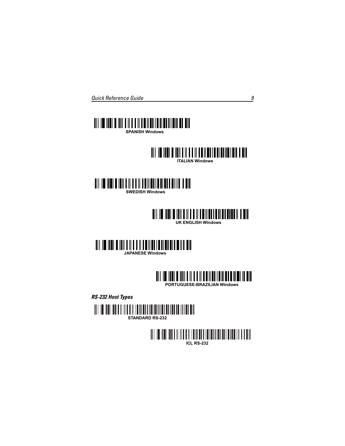



**ITALIAN Windows**



## **UK ENGLISH Windows**





*RS-232 Host Types*



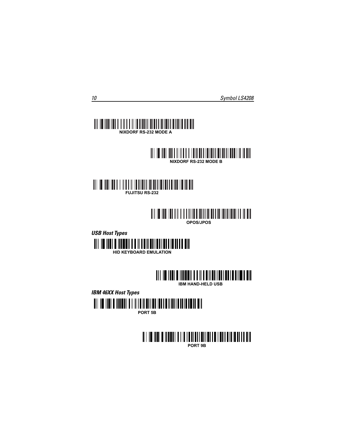#### <u> Ali di bolimba</u> I III III III III **NIXDORF RS-232 MODE A**





## **OPOS/JPOS**





**IBM HAND-HELD USB**

<span id="page-9-0"></span>*IBM 46XX Host Types*



**PORT 5B**

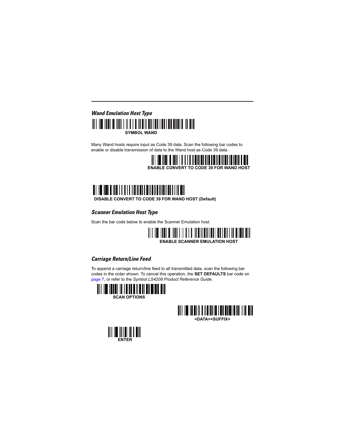## *Wand Emulation Host Type* **SYMBOL WAND**

Many Wand hosts require input as Code 39 data. Scan the following bar codes to enable or disable transmission of data to the Wand host as Code 39 data.





**DISABLE CONVERT TO CODE 39 FOR WAND HOST (Default)** 

## *Scanner Emulation Host Type*

Scan the bar code below to enable the Scanner Emulation host.

# **ENABLE SCANNER EMULATION HOST**

#### *Carriage Return/Line Feed*

To append a carriage return/line feed to all transmitted data, scan the following bar codes in the order shown. To cancel this operation, the **SET DEFAULTS** bar code on [page 7,](#page-6-1) or refer to the *Symbol LS4208 Product Reference Guide*.





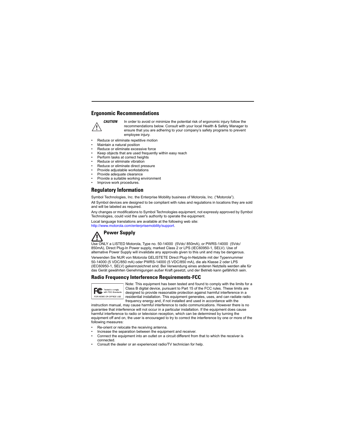#### **Ergonomic Recommendations**



**CAUTION** In order to avoid or minimize the potential risk of ergonomic injury follow the recommendations below. Consult with your local Health & Safety Manager to ensure that you are adhering to your company's safety programs to prevent employee injury.

- Reduce or eliminate repetitive motion
- Maintain a natural position
- Reduce or eliminate excessive force
- Keep objects that are used frequently within easy reach
- Perform tasks at correct heights
- Reduce or eliminate vibration
- Reduce or eliminate direct pressure
- Provide adjustable workstations
- Provide adequate clearance
- Provide a suitable working environment
- Improve work procedures.

#### **Regulatory Information**

Symbol Technologies, Inc. the Enterprise Mobility business of Motorola, Inc. ("Motorola").

All Symbol devices are designed to be compliant with rules and regulations in locations they are sold and will be labeled as required.

Any changes or modifications to Symbol Technologies equipment, not expressly approved by Symbol Technologies, could void the user's authority to operate the equipment.

[Local language translations are available at the following web site:](http://www.motorola.com/enterprisemobility/support)  http://www.motorola.com/enterprisemobility/support.

## **Power Supply**

Use ONLY a LISTED Motorola, Type no. 50-14000 (5Vdc/ 850mA), or PWRS-14000 (5Vdc/ 850mA), Direct Plug-In Power supply, marked Class 2 or LPS (IEC60950-1, SELV). Use of alternative Power Supply will invalidate any approvals given to this unit and may be dangerous.

Verwenden Sie NUR von Motorola GELISTETE Direct Plug-In-Netzteile mit der Typennummer 50-14000 (5 VDC/850 mA) oder PWRS-14000 (5 VDC/850 mA), die als Klasse 2 oder LPS (IEC60950-1, SELV) gekennzeichnet sind. Bei Verwendung eines anderen Netzteils werden alle für das Gerät gewährten Genehmigungen außer Kraft gesetzt, und der Betrieb kann gefährlich sein.

#### **Radio Frequency Interference Requirements-FCC**



Note: This equipment has been tested and found to comply with the limits for a Class B digital device, pursuant to Part 15 of the FCC rules. These limits are designed to provide reasonable protection against harmful interference in a residential installation. This equipment generates, uses, and can radiate radio frequency energy and, if not installed and used in accordance with the

instruction manual, may cause harmful interference to radio communications. However there is no guarantee that interference will not occur in a particular installation. If the equipment does cause harmful interference to radio or television reception, which can be determined by turning the equipment off and on, the user is encouraged to try to correct the interference by one or more of the following measures:

- Re-orient or relocate the receiving antenna.
- Increase the separation between the equipment and receiver.
- Connect the equipment into an outlet on a circuit different from that to which the receiver is connected.
- Consult the dealer or an experienced radio/TV technician for help.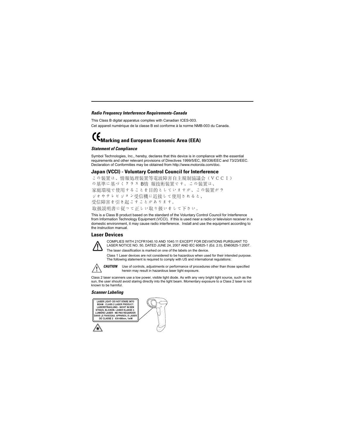#### *Radio Frequency Interference Requirements-Canada*

This Class B digital apparatus complies with Canadian ICES-003. Cet appareil numérique de la classe B est conforme à la norme NMB-003 du Canada.

# **Marking and European Economic Area (EEA)**

#### *Statement of Compliance*

Symbol Technologies, Inc., hereby, declares that this device is in compliance with the essential requirements and other relevant provisions of Directives 1999/5/EC, 89/336/EEC and 73/23/EEC. Declaration of Conformities may be obtained from http://www.motorola.com/doc.

#### **Japan (VCCI) - Voluntary Control Council for Interference**

この装置は、情報処理装置等電波障害自主規制協議会(VCCI) の基準に基づくクラス B情 報技術装置です。この装置は、 家庭環境で使用することを目的としていますが、この装置がラ ジオやテレビジョン受信機に近接して使用されると、 受信障害を引き起こすことがあります。 取扱説明書に従って正しい取り扱いをして下さい。

This is a Class B product based on the standard of the Voluntary Control Council for Interference from Information Technology Equipment (VCCI). If this is used near a radio or television receiver in a domestic environment, it may cause radio interference. Install and use the equipment according to the instruction manual.

#### **Laser Devices**



COMPLIES WITH 21CFR1040.10 AND 1040.11 EXCEPT FOR DEVIATIONS PURSUANT TO LASER NOTICE NO. 50, DATED JUNE 24, 2007 AND IEC 60825-1 (Ed. 2.0), EN60825-1:2007. The laser classification is marked on one of the labels on the device.

Class 1 Laser devices are not considered to be hazardous when used for their intended purpose. The following statement is required to comply with US and international regulations:



**CAUTION** Use of controls, adjustments or performance of procedures other than those specified herein may result in hazardous laser light exposure.

Class 2 laser scanners use a low power, visible light diode. As with any very bright light source, such as the sun, the user should avoid staring directly into the light beam. Momentary exposure to a Class 2 laser is not known to be harmful.

#### *Scanner Labeling*



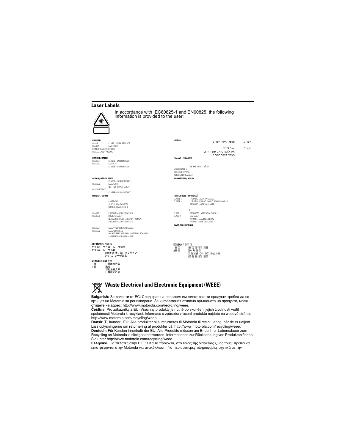#### **Laser Labels**

**ENGLISH**

|                                                                                                                                        | In accordance with IEC60825-1 and EN60825, the following<br>information is provided to the user:                                                  |                                                                                       |                                                                                                                                                                           |                |
|----------------------------------------------------------------------------------------------------------------------------------------|---------------------------------------------------------------------------------------------------------------------------------------------------|---------------------------------------------------------------------------------------|---------------------------------------------------------------------------------------------------------------------------------------------------------------------------|----------------|
| <b>ENGLISH</b><br>CLASS <sub>1</sub><br>CLASS <sub>2</sub><br>DO NOT STARE INTO BEAM<br>CLASS 2 LASER PRODUCT<br><b>DANISH / DANSK</b> | CLASS 1 LASER PRODUCT<br><b>LASER LIGHT</b>                                                                                                       | <b>HEBREW</b><br><b>ITALIAN / ITALIANO</b>                                            | מוצר לייזר רמה 1<br>אור לייזר<br>אין להביט אל תוך הזרם<br>מוצר לייזר רמה 2                                                                                                | רמה 1<br>רמה 2 |
| KLASSE 1<br>KLASSE <sub>2</sub><br><b>DUTCH / NEDERLANDS</b>                                                                           | KLASSE 1 LASERPRODUKT<br>LASERLYF<br>KLASSE 2 LASERPRODUKT<br>KLASSE-1 LASERPRODUKT                                                               | NON FISSARE IL<br>RAGGIOPRODOTTO<br>AL LASER DI CLASSE 2<br><b>NORWEGIAN / NORSK</b>  | SE IKKE IND I STRÅLEN                                                                                                                                                     |                |
| KLASSE <sub>2</sub><br>LASERPRODUKT.                                                                                                   | LASERLICHT<br>NIET IN STRAAL STAREN<br>KLASSE-2 LASERPRODUKT                                                                                      |                                                                                       |                                                                                                                                                                           |                |
| <b>FINNISH / SUOMI</b><br>C<br>CLASSE 1<br>CLASSE <sub>2</sub>                                                                         | <b>LASERVALO</b><br>ĀLĀ TUIJOTA SÄDETTĀ<br>LUOKKA 2 LASERTUOTE<br>PRODUIT LASER DE CLASSE 1<br>LUMIERE LASER<br>NE PAS REGARDER LE RAYON FIXEMENT | <b>PORTUGUESE / PORTUGUÊ</b><br>CLASSE 1<br>CLASSE <sub>2</sub><br>CLASE 1<br>CLASE 2 | PRODUTO LASER DA CLASSE 1<br>LUZ DE LASER NÃO FIXAR O RAIO LUMINOSO<br>PRODUTO LASER DA CLASSE 2<br>PRODUCTO LASER DE LA CLASE 1<br>LUZ LASER<br>NO MIRE FIJAMENTE EL HAZ |                |
| KLASSE 1<br>KLASSE <sub>2</sub>                                                                                                        | PRODUIT LASER DE CLASSE 2<br>LASERPRODUKT DER KLASSE 1<br>LASERSTRAHLEN<br>NICHT DIREKT IN DEN LASERSTRAHL SCHAUEN<br>LASERPRODUKT DER KLASSE 2   | <b>SWEDISH / SVENSKA</b>                                                              | PRODUIT LASER DE CLASSE 2                                                                                                                                                 |                |
| JAPANESE / 日本語<br>クラス2 レーザ光線                                                                                                           | クラス1 クラス1 レーザ製品<br>光線を直視しないでください<br>クラス2 レーザ製品                                                                                                    | KOREAN / 한국어<br>1등급<br>2등급                                                            | 1등급 레이저 제품<br>레이저 광선<br>이 광선을 주시하지 마십시오.<br>2등급 레이저 제품                                                                                                                    |                |
| CHINESE / 简体中文<br>类<br>举<br>I<br>激光                                                                                                    | 1 类激光产品<br>切勿注视光束<br>2 类激光产品                                                                                                                      |                                                                                       |                                                                                                                                                                           |                |



**JA** クク

cн  $\frac{1}{2}$ 

## **Waste Electrical and Electronic Equipment (WEEE)**

**Bulgarish:** За клиенти от ЕС: След края на полезния им живот всички продукти трябва да се връщат на Motorola за рециклиране. За информация относно връщането на продукти, моля отидете на адрес: http://www.motorola.com/recycling/weee.

**Čeština:** Pro zákazníky z EU: Všechny produkty je nutné po skonèení jejich životnosti vrátit spoleènosti Motorola k recyklaci. Informace o zpùsobu vrácení produktu najdete na webové stránce: http://www.motorola.com/recycling/weee.

**Dansk:** Til kunder i EU: Alle produkter skal returneres til Motorola til recirkulering, når de er udtjent. Læs oplysningerne om returnering af produkter på: http://www.motorola.com/recycling/weee.

**Deutsch:** Für Kunden innerhalb der EU: Alle Produkte müssen am Ende ihrer Lebensdauer zum Recycling an Motorola zurückgesandt werden. Informationen zur Rücksendung von Produkten finden Sie unter http://www.motorola.com/recycling/weee.

**Ελληνικά:** Για πελάτες στην Ε.Ε.: Όλα τα προϊόντα, στο τέλος της διάρκειας ζωής τους, πρέπει να επιστρέφονται στην Motorola για ανακύκλωση. Για περισσότερες πληροφορίες σχετικά με την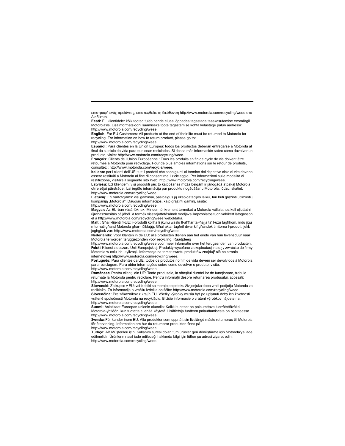επιστροφή ενός προϊόντος, επισκεφθείτε τη διεύθυνση http://www.motorola.com/recycling/weee στο Διαδίκτυο.

**Eesti:** EL klientidele: kõik tooted tuleb nende eluea lõppedes tagastada taaskasutamise eesmärgil Motorola'ile. Lisainformatsiooni saamiseks toote tagastamise kohta külastage palun aadressi: http://www.motorola.com/recycling/weee.

**English:** For EU Customers: All products at the end of their life must be returned to Motorola for recycling. For information on how to return product, please go to:

http://www.motorola.com/recycling/weee.

**Español:** Para clientes en la Unión Europea: todos los productos deberán entregarse a Motorola al final de su ciclo de vida para que sean reciclados. Si desea más información sobre cómo devolver un producto, visite: http://www.motorola.com/recycling/weee.

**Français:** Clients de l'Union Européenne : Tous les produits en fin de cycle de vie doivent être retournés à Motorola pour recyclage. Pour de plus amples informations sur le retour de produits, consultez : http://www.motorola.com/recycle/weee.

**Italiano:** per i clienti dell'UE: tutti i prodotti che sono giunti al termine del rispettivo ciclo di vita devono essere restituiti a Motorola al fine di consentirne il riciclaggio. Per informazioni sulle modalità di restituzione, visitare il seguente sito Web: http://www.motorola.com/recycling/weee.

**Latviešu:** ES klientiem: visi produkti pēc to kalpošanas mūža beigām ir jānogādā atpakaļ Motorola otrreizējai pārstrādei. Lai iegūtu informāciju par produktu nogādāšanu Motorola, lūdzu, skatiet: http://www.motorola.com/recycling/weee.

**Lietuvių:** ES vartotojams: visi gaminiai, pasibaigus jų eksploatacijos laikui, turi būti grąžinti utilizuoti į kompaniją "Motorola". Daugiau informacijos, kaip grąžinti gaminį, rasite:

http://www.motorola.com/recycling/weee.

**Magyar:** Az EU-ban vásárlóknak: Minden tönkrement terméket a Motorola vállalathoz kell eljuttatni újrahasznosítás céljából. A termék visszajuttatásának módjával kapcsolatos tudnivalókért látogasson el a http://www.motorola.com/recycling/weee weboldalra.

**Malti:** Għal klijenti fl-UE: il-prodotti kollha li jkunu waslu fl-aħħar tal-ħajja ta' l-użu tagħhom, iridu jiġu rritornati għand Motorola għar-riċiklaġġ. Għal aktar tagħrif dwar kif għandek tirritorna l-prodott, jekk jogħġbok żur: http://www.motorola.com/recycling/weee.

**Nederlands:** Voor klanten in de EU: alle producten dienen aan het einde van hun levensduur naar Motorola te worden teruggezonden voor recycling. Raadpleeg

http://www.motorola.com/recycling/weee voor meer informatie over het terugzenden van producten. **Polski:** Klienci z obszaru Unii Europejskiej: Produkty wycofane z eksploatacji nale¿y zwróciæ do firmy Motorola w celu ich utylizacji. Informacje na temat zwrotu produktów znajduj<sup>1</sup> siê na stronie internetowej http://www.motorola.com/recycling/weee.

**Português:** Para clientes da UE: todos os produtos no fim de vida devem ser devolvidos à Motorola para reciclagem. Para obter informações sobre como devolver o produto, visite: http://www.motorola.com/recycling/weee.

**Românesc** Pentru clienţii din UE: Toate produsele, la sfârşitul duratei lor de funcţionare, trebuie returnate la Motorola pentru reciclare. Pentru informatii despre returnarea produsului, accesati: http://www.motorola.com/recycling/weee.

**Slovenski:** Za kupce v EU: vsi izdelki se morajo po poteku življenjske dobe vrniti podjetju Motorola za reciklažo. Za informacije o vračilu izdelka obiščite: http://www.motorola.com/recycling/weee. **Slovenčina:** Pre zákazníkov z krajín EU: Všetky výrobky musia byť po uplynutí doby ich životnosti vrátené spoločnosti Motorola na recykláciu. Bližšie informácie o vrátení výrobkov nájdete na: http://www.motorola.com/recycling/weee.

**Suomi:** Asiakkaat Euroopan unionin alueella: Kaikki tuotteet on palautettava kierrätettäväksi Motorola-yhtiöön, kun tuotetta ei enää käytetä. Lisätietoja tuotteen palauttamisesta on osoitteessa http://www.motorola.com/recycling/weee.

**Svenska:** För kunder inom EU: Alla produkter som uppnått sin livslängd måste returneras till Motorola för återvinning. Information om hur du returnerar produkten finns på http://www.motorola.com/recycling/weee.

**Türkçe:** AB Müşterileri için: Kullanım süresi dolan tüm ürünler geri dönüştürme için Motorola'ya iade edilmelidir. Ürünlerin nasıl iade edileceği hakkında bilgi için lütfen şu adresi ziyaret edin: http://www.motorola.com/recycling/weee.